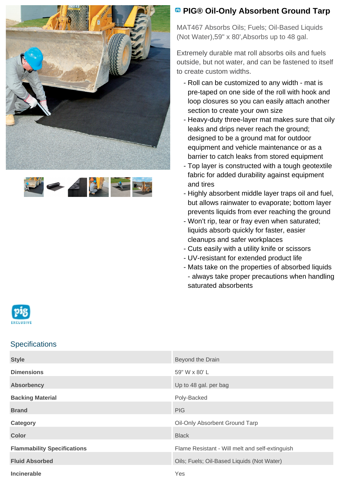



## **<sup><b>B</sup>** PIG® Oil-Only Absorbent Ground Tarp</sup>

MAT467 Absorbs Oils; Fuels; Oil-Based Liquids (Not Water),59" x 80',Absorbs up to 48 gal.

Extremely durable mat roll absorbs oils and fuels outside, but not water, and can be fastened to itself to create custom widths.

- Roll can be customized to any width mat is pre-taped on one side of the roll with hook and loop closures so you can easily attach another section to create your own size
- Heavy-duty three-layer mat makes sure that oily leaks and drips never reach the ground; designed to be a ground mat for outdoor equipment and vehicle maintenance or as a barrier to catch leaks from stored equipment
- Top layer is constructed with a tough geotextile fabric for added durability against equipment and tires
- Highly absorbent middle layer traps oil and fuel, but allows rainwater to evaporate; bottom layer prevents liquids from ever reaching the ground
- Won't rip, tear or fray even when saturated; liquids absorb quickly for faster, easier cleanups and safer workplaces
- Cuts easily with a utility knife or scissors
- UV-resistant for extended product life
- Mats take on the properties of absorbed liquids - always take proper precautions when handling saturated absorbents



## **Specifications**

| <b>Style</b>                       | Beyond the Drain                                |
|------------------------------------|-------------------------------------------------|
| <b>Dimensions</b>                  | 59" W x 80' L                                   |
| <b>Absorbency</b>                  | Up to 48 gal. per bag                           |
| <b>Backing Material</b>            | Poly-Backed                                     |
| <b>Brand</b>                       | <b>PIG</b>                                      |
| Category                           | Oil-Only Absorbent Ground Tarp                  |
| <b>Color</b>                       | <b>Black</b>                                    |
| <b>Flammability Specifications</b> | Flame Resistant - Will melt and self-extinguish |
| <b>Fluid Absorbed</b>              | Oils; Fuels; Oil-Based Liquids (Not Water)      |
| <b>Incinerable</b>                 | Yes                                             |
|                                    |                                                 |